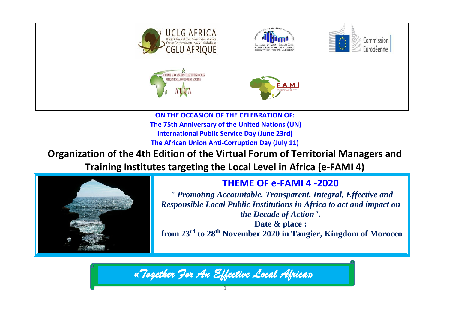

**ON THE OCCASION OF THE CELEBRATION OF: The 75th Anniversary of the United Nations (UN) International Public Service Day (June 23rd) The African Union Anti-Corruption Day (July 11)** 

# **Organization of the 4th Edition of the Virtual Forum of Territorial Managers and Training Institutes targeting the Local Level in Africa (e-FAMI 4)**



# **THEME OF e-FAMI 4 -2020**

 *" Promoting Accountable, Transparent, Integral, Effective and Responsible Local Public Institutions in Africa to act and impact on the Decade of Action".*

**Date & place : from 23rd to 28th November 2020 in Tangier, Kingdom of Morocco**

*«Together For An Effective Local Africa»*

1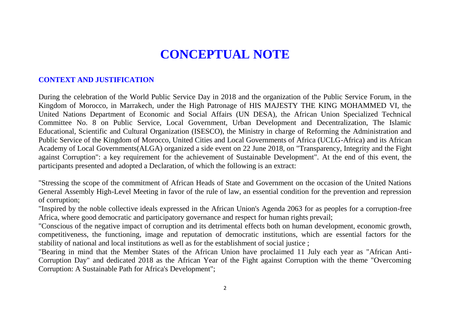# **CONCEPTUAL NOTE**

### **CONTEXT AND JUSTIFICATION**

During the celebration of the World Public Service Day in 2018 and the organization of the Public Service Forum, in the Kingdom of Morocco, in Marrakech, under the High Patronage of HIS MAJESTY THE KING MOHAMMED VI, the United Nations Department of Economic and Social Affairs (UN DESA), the African Union Specialized Technical Committee No. 8 on Public Service, Local Government, Urban Development and Decentralization, The Islamic Educational, Scientific and Cultural Organization (ISESCO), the Ministry in charge of Reforming the Administration and Public Service of the Kingdom of Morocco, United Cities and Local Governments of Africa (UCLG-Africa) and its African Academy of Local Governments(ALGA) organized a side event on 22 June 2018, on "Transparency, Integrity and the Fight against Corruption": a key requirement for the achievement of Sustainable Development". At the end of this event, the participants presented and adopted a Declaration, of which the following is an extract:

"Stressing the scope of the commitment of African Heads of State and Government on the occasion of the United Nations General Assembly High-Level Meeting in favor of the rule of law, an essential condition for the prevention and repression of corruption;

"Inspired by the noble collective ideals expressed in the African Union's Agenda 2063 for as peoples for a corruption-free Africa, where good democratic and participatory governance and respect for human rights prevail;

"Conscious of the negative impact of corruption and its detrimental effects both on human development, economic growth, competitiveness, the functioning, image and reputation of democratic institutions, which are essential factors for the stability of national and local institutions as well as for the establishment of social justice ;

"Bearing in mind that the Member States of the African Union have proclaimed 11 July each year as "African Anti-Corruption Day" and dedicated 2018 as the African Year of the Fight against Corruption with the theme "Overcoming Corruption: A Sustainable Path for Africa's Development";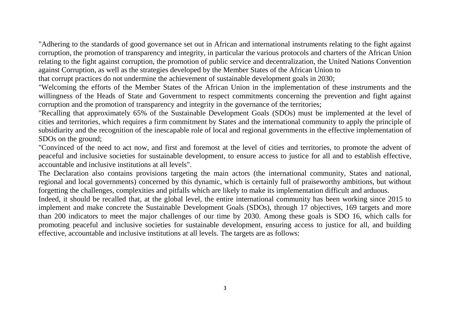"Adhering to the standards of good governance set out in African and international instruments relating to the fight against corruption, the promotion of transparency and integrity, in particular the various protocols and charters of the African Union relating to the fight against corruption, the promotion of public service and decentralization, the United Nations Convention against Corruption, as well as the strategies developed by the Member States of the African Union to

that corrupt practices do not undermine the achievement of sustainable development goals in 2030;

"Welcoming the efforts of the Member States of the African Union in the implementation of these instruments and the willingness of the Heads of State and Government to respect commitments concerning the prevention and fight against corruption and the promotion of transparency and integrity in the governance of the territories;

"Recalling that approximately 65% of the Sustainable Development Goals (SDOs) must be implemented at the level of cities and territories, which requires a firm commitment by States and the international community to apply the principle of subsidiarity and the recognition of the inescapable role of local and regional governments in the effective implementation of SDOs on the ground;

"Convinced of the need to act now, and first and foremost at the level of cities and territories, to promote the advent of peaceful and inclusive societies for sustainable development, to ensure access to justice for all and to establish effective, accountable and inclusive institutions at all levels".

The Declaration also contains provisions targeting the main actors (the international community, States and national, regional and local governments) concerned by this dynamic, which is certainly full of praiseworthy ambitions, but without forgetting the challenges, complexities and pitfalls which are likely to make its implementation difficult and arduous.

Indeed, it should be recalled that, at the global level, the entire international community has been working since 2015 to implement and make concrete the Sustainable Development Goals (SDOs), through 17 objectives, 169 targets and more than 200 indicators to meet the major challenges of our time by 2030. Among these goals is SDO 16, which calls for promoting peaceful and inclusive societies for sustainable development, ensuring access to justice for all, and building effective, accountable and inclusive institutions at all levels. The targets are as follows: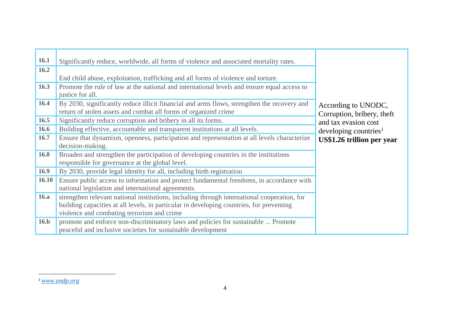| <b>16.1</b> | Significantly reduce, worldwide, all forms of violence and associated mortality rates.                                                                                                                                                |                                                   |
|-------------|---------------------------------------------------------------------------------------------------------------------------------------------------------------------------------------------------------------------------------------|---------------------------------------------------|
| 16.2        |                                                                                                                                                                                                                                       |                                                   |
|             | End child abuse, exploitation, trafficking and all forms of violence and torture.                                                                                                                                                     |                                                   |
| 16.3        | Promote the rule of law at the national and international levels and ensure equal access to<br>justice for all.                                                                                                                       |                                                   |
| 16.4        | By 2030, significantly reduce illicit financial and arms flows, strengthen the recovery and<br>return of stolen assets and combat all forms of organized crime                                                                        | According to UNODC,<br>Corruption, bribery, theft |
| 16.5        | Significantly reduce corruption and bribery in all its forms.                                                                                                                                                                         | and tax evasion cost                              |
| 16.6        | Building effective, accountable and transparent institutions at all levels.                                                                                                                                                           | developing countries <sup>1</sup>                 |
| 16.7        | Ensure that dynamism, openness, participation and representation at all levels characterize<br>decision-making.                                                                                                                       | US\$1.26 trillion per year                        |
| 16.8        | Broaden and strengthen the participation of developing countries in the institutions<br>responsible for governance at the global level.                                                                                               |                                                   |
| 16.9        | By 2030, provide legal identity for all, including birth registration                                                                                                                                                                 |                                                   |
| 16.10       | Ensure public access to information and protect fundamental freedoms, in accordance with<br>national legislation and international agreements.                                                                                        |                                                   |
| <b>16.a</b> | strengthen relevant national institutions, including through international cooperation, for<br>building capacities at all levels, in particular in developing countries, for preventing<br>violence and combating terrorism and crime |                                                   |
| 16.b        | promote and enforce non-discriminatory laws and policies for sustainable  Promote<br>peaceful and inclusive societies for sustainable development                                                                                     |                                                   |

 $\overline{\phantom{a}}$ 

<sup>1</sup> *[www.undp.org](http://www.undp.org/)*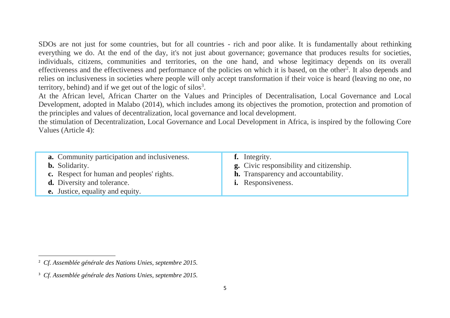SDOs are not just for some countries, but for all countries - rich and poor alike. It is fundamentally about rethinking everything we do. At the end of the day, it's not just about governance; governance that produces results for societies, individuals, citizens, communities and territories, on the one hand, and whose legitimacy depends on its overall effectiveness and the effectiveness and performance of the policies on which it is based, on the other<sup>2</sup>. It also depends and relies on inclusiveness in societies where people will only accept transformation if their voice is heard (leaving no one, no territory, behind) and if we get out of the logic of silos<sup>3</sup>.

At the African level, African Charter on the Values and Principles of Decentralisation, Local Governance and Local Development, adopted in Malabo (2014), which includes among its objectives the promotion, protection and promotion of the principles and values of decentralization, local governance and local development.

the stimulation of Decentralization, Local Governance and Local Development in Africa, is inspired by the following Core Values (Article 4):

| <b>a.</b> Community participation and inclusiveness.<br><b>b.</b> Solidarity.<br><b>c.</b> Respect for human and peoples' rights.<br><b>d.</b> Diversity and tolerance.<br><b>e.</b> Justice, equality and equity. | <b>f.</b> Integrity.<br><b>g.</b> Civic responsibility and citizenship.<br><b>h.</b> Transparency and accountability.<br><b>i.</b> Responsiveness. |
|--------------------------------------------------------------------------------------------------------------------------------------------------------------------------------------------------------------------|----------------------------------------------------------------------------------------------------------------------------------------------------|
|--------------------------------------------------------------------------------------------------------------------------------------------------------------------------------------------------------------------|----------------------------------------------------------------------------------------------------------------------------------------------------|

 $\overline{a}$ 

<sup>2</sup> *Cf. Assemblée générale des Nations Unies, septembre 2015.*

<sup>3</sup> *Cf. Assemblée générale des Nations Unies, septembre 2015.*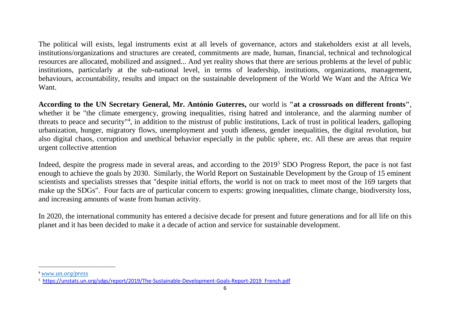The political will exists, legal instruments exist at all levels of governance, actors and stakeholders exist at all levels, institutions/organizations and structures are created, commitments are made, human, financial, technical and technological resources are allocated, mobilized and assigned... And yet reality shows that there are serious problems at the level of public institutions, particularly at the sub-national level, in terms of leadership, institutions, organizations, management, behaviours, accountability, results and impact on the sustainable development of the World We Want and the Africa We Want.

**According to the UN Secretary General, Mr. António Guterres,** our world is **"at a crossroads on different fronts"**, whether it be "the climate emergency, growing inequalities, rising hatred and intolerance, and the alarming number of threats to peace and security"<sup>4</sup>, in addition to the mistrust of public institutions, Lack of trust in political leaders, galloping urbanization, hunger, migratory flows, unemployment and youth idleness, gender inequalities, the digital revolution, but also digital chaos, corruption and unethical behavior especially in the public sphere, etc. All these are areas that require urgent collective attention

Indeed, despite the progress made in several areas, and according to the 2019<sup>5</sup> SDO Progress Report, the pace is not fast enough to achieve the goals by 2030. Similarly, the World Report on Sustainable Development by the Group of 15 eminent scientists and specialists stresses that "despite initial efforts, the world is not on track to meet most of the 169 targets that make up the SDGs". Four facts are of particular concern to experts: growing inequalities, climate change, biodiversity loss, and increasing amounts of waste from human activity.

In 2020, the international community has entered a decisive decade for present and future generations and for all life on this planet and it has been decided to make it a decade of action and service for sustainable development.

 $\overline{a}$ 

<sup>4</sup> *[www.un.org/press](http://www.un.org/press)*

<sup>5</sup> [https://unstats.un.org/sdgs/report/2019/The-Sustainable-Development-Goals-Report-2019\\_French.pdf](https://unstats.un.org/sdgs/report/2019/The-Sustainable-Development-Goals-Report-2019_French.pdf)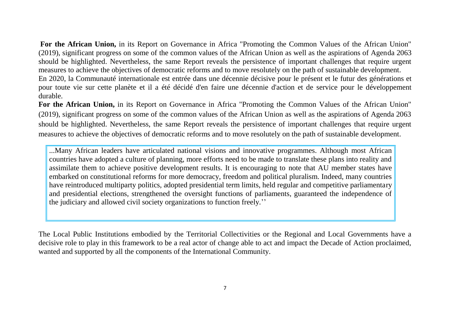**For the African Union,** in its Report on Governance in Africa "Promoting the Common Values of the African Union" (2019), significant progress on some of the common values of the African Union as well as the aspirations of Agenda 2063 should be highlighted. Nevertheless, the same Report reveals the persistence of important challenges that require urgent measures to achieve the objectives of democratic reforms and to move resolutely on the path of sustainable development. En 2020, la Communauté internationale est entrée dans une décennie décisive pour le présent et le futur des générations et pour toute vie sur cette planète et il a été décidé d'en faire une décennie d'action et de service pour le développement durable.

**For the African Union,** in its Report on Governance in Africa "Promoting the Common Values of the African Union" (2019), significant progress on some of the common values of the African Union as well as the aspirations of Agenda 2063 should be highlighted. Nevertheless, the same Report reveals the persistence of important challenges that require urgent measures to achieve the objectives of democratic reforms and to move resolutely on the path of sustainable development.

...Many African leaders have articulated national visions and innovative programmes. Although most African countries have adopted a culture of planning, more efforts need to be made to translate these plans into reality and assimilate them to achieve positive development results. It is encouraging to note that AU member states have embarked on constitutional reforms for more democracy, freedom and political pluralism. Indeed, many countries have reintroduced multiparty politics, adopted presidential term limits, held regular and competitive parliamentary and presidential elections, strengthened the oversight functions of parliaments, guaranteed the independence of the judiciary and allowed civil society organizations to function freely.''

The Local Public Institutions embodied by the Territorial Collectivities or the Regional and Local Governments have a decisive role to play in this framework to be a real actor of change able to act and impact the Decade of Action proclaimed, wanted and supported by all the components of the International Community.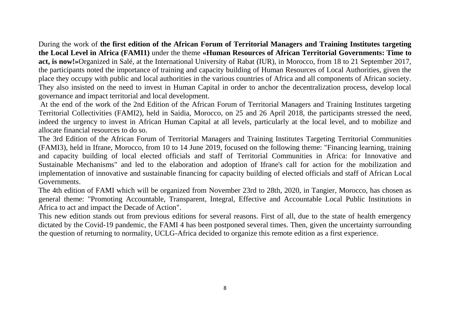During the work of **the first edition of the African Forum of Territorial Managers and Training Institutes targeting the Local Level in Africa (FAMI1)** under the theme **«Human Resources of African Territorial Governments: Time to act, is now!»**Organized in Salé, at the International University of Rabat (IUR), in Morocco, from 18 to 21 September 2017, the participants noted the importance of training and capacity building of Human Resources of Local Authorities, given the place they occupy with public and local authorities in the various countries of Africa and all components of African society. They also insisted on the need to invest in Human Capital in order to anchor the decentralization process, develop local governance and impact territorial and local development.

At the end of the work of the 2nd Edition of the African Forum of Territorial Managers and Training Institutes targeting Territorial Collectivities (FAMI2), held in Saidia, Morocco, on 25 and 26 April 2018, the participants stressed the need, indeed the urgency to invest in African Human Capital at all levels, particularly at the local level, and to mobilize and allocate financial resources to do so.

The 3rd Edition of the African Forum of Territorial Managers and Training Institutes Targeting Territorial Communities (FAMI3), held in Ifrane, Morocco, from 10 to 14 June 2019, focused on the following theme: "Financing learning, training and capacity building of local elected officials and staff of Territorial Communities in Africa: for Innovative and Sustainable Mechanisms" and led to the elaboration and adoption of Ifrane's call for action for the mobilization and implementation of innovative and sustainable financing for capacity building of elected officials and staff of African Local Governments.

The 4th edition of FAMI which will be organized from November 23rd to 28th, 2020, in Tangier, Morocco, has chosen as general theme: "Promoting Accountable, Transparent, Integral, Effective and Accountable Local Public Institutions in Africa to act and impact the Decade of Action".

This new edition stands out from previous editions for several reasons. First of all, due to the state of health emergency dictated by the Covid-19 pandemic, the FAMI 4 has been postponed several times. Then, given the uncertainty surrounding the question of returning to normality, UCLG-Africa decided to organize this remote edition as a first experience.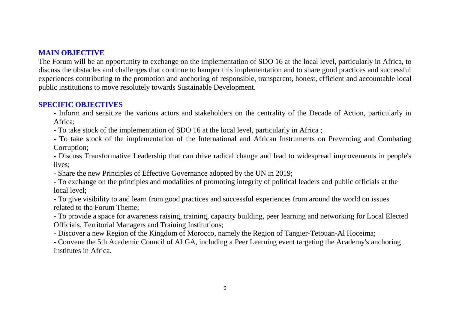## **MAIN OBJECTIVE**

The Forum will be an opportunity to exchange on the implementation of SDO 16 at the local level, particularly in Africa, to discuss the obstacles and challenges that continue to hamper this implementation and to share good practices and successful experiences contributing to the promotion and anchoring of responsible, transparent, honest, efficient and accountable local public institutions to move resolutely towards Sustainable Development.

## **SPECIFIC OBJECTIVES**

- Inform and sensitize the various actors and stakeholders on the centrality of the Decade of Action, particularly in Africa;

- To take stock of the implementation of SDO 16 at the local level, particularly in Africa ;

- To take stock of the implementation of the International and African Instruments on Preventing and Combating Corruption;

- Discuss Transformative Leadership that can drive radical change and lead to widespread improvements in people's lives;

- Share the new Principles of Effective Governance adopted by the UN in 2019;

- To exchange on the principles and modalities of promoting integrity of political leaders and public officials at the local level;

- To give visibility to and learn from good practices and successful experiences from around the world on issues related to the Forum Theme;

- To provide a space for awareness raising, training, capacity building, peer learning and networking for Local Elected Officials, Territorial Managers and Training Institutions;

- Discover a new Region of the Kingdom of Morocco, namely the Region of Tangier-Tetouan-Al Hoceima;

- Convene the 5th Academic Council of ALGA, including a Peer Learning event targeting the Academy's anchoring Institutes in Africa.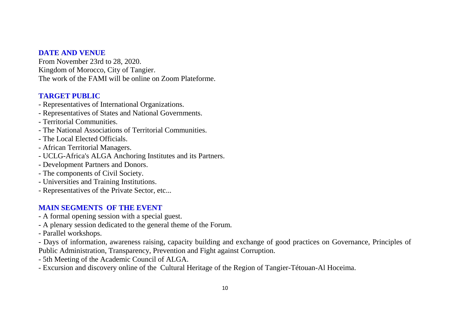#### **DATE AND VENUE**

From November 23rd to 28, 2020. Kingdom of Morocco, City of Tangier. The work of the FAMI will be online on Zoom Plateforme.

# **TARGET PUBLIC**

- Representatives of International Organizations.
- Representatives of States and National Governments.
- Territorial Communities.
- The National Associations of Territorial Communities.
- The Local Elected Officials.
- African Territorial Managers.
- UCLG-Africa's ALGA Anchoring Institutes and its Partners.
- Development Partners and Donors.
- The components of Civil Society.
- Universities and Training Institutions.
- Representatives of the Private Sector, etc...

# **MAIN SEGMENTS OF THE EVENT**

- A formal opening session with a special guest.
- A plenary session dedicated to the general theme of the Forum.
- Parallel workshops.

- Days of information, awareness raising, capacity building and exchange of good practices on Governance, Principles of Public Administration, Transparency, Prevention and Fight against Corruption.

- 5th Meeting of the Academic Council of ALGA.
- Excursion and discovery online of the Cultural Heritage of the Region of Tangier-Tétouan-Al Hoceima.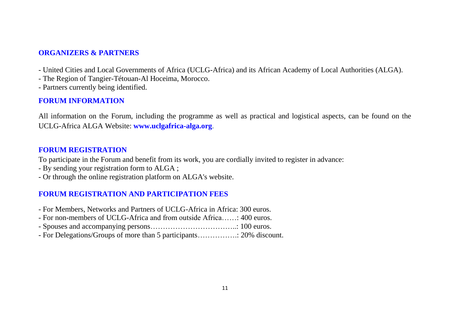### **ORGANIZERS & PARTNERS**

- United Cities and Local Governments of Africa (UCLG-Africa) and its African Academy of Local Authorities (ALGA).
- The Region of Tangier-Tétouan-Al Hoceima, Morocco.
- Partners currently being identified.

### **FORUM INFORMATION**

All information on the Forum, including the programme as well as practical and logistical aspects, can be found on the UCLG-Africa ALGA Website: **www.uclgafrica-alga.org**.

# **FORUM REGISTRATION**

To participate in the Forum and benefit from its work, you are cordially invited to register in advance:

- By sending your registration form to ALGA ;
- Or through the online registration platform on ALGA's website.

# **FORUM REGISTRATION AND PARTICIPATION FEES**

- For Members, Networks and Partners of UCLG-Africa in Africa: 300 euros.
- For non-members of UCLG-Africa and from outside Africa……: 400 euros.
- Spouses and accompanying persons……………………………..: 100 euros.
- For Delegations/Groups of more than 5 participants…………….: 20% discount.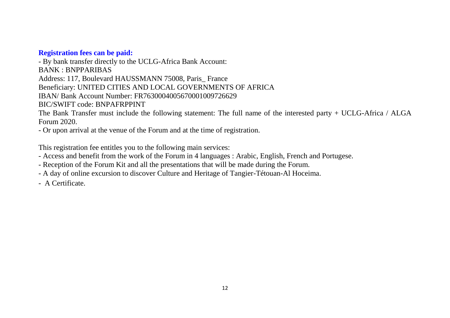#### **Registration fees can be paid:**

- By bank transfer directly to the UCLG-Africa Bank Account: BANK : BNPPARIBAS Address: 117, Boulevard HAUSSMANN 75008, Paris\_ France Beneficiary: UNITED CITIES AND LOCAL GOVERNMENTS OF AFRICA IBAN/ Bank Account Number: FR7630004005670001009726629 BIC/SWIFT code: BNPAFRPPINT The Bank Transfer must include the following statement: The full name of the interested party + UCLG-Africa / ALGA Forum 2020.

- Or upon arrival at the venue of the Forum and at the time of registration.

This registration fee entitles you to the following main services:

- Access and benefit from the work of the Forum in 4 languages : Arabic, English, French and Portugese.

- Reception of the Forum Kit and all the presentations that will be made during the Forum.

- A day of online excursion to discover Culture and Heritage of Tangier-Tétouan-Al Hoceima.

- A Certificate.